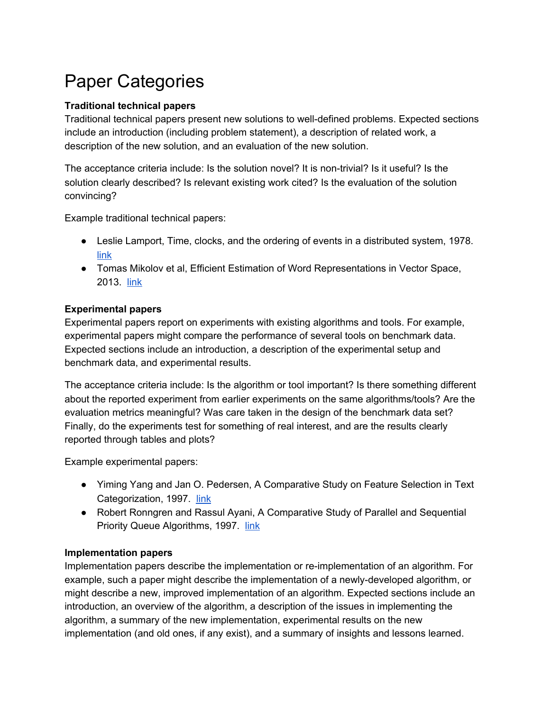# Paper Categories

### **Traditional technical papers**

Traditional technical papers present new solutions to well-defined problems. Expected sections include an introduction (including problem statement), a description of related work, a description of the new solution, and an evaluation of the new solution.

The acceptance criteria include: Is the solution novel? It is non-trivial? Is it useful? Is the solution clearly described? Is relevant existing work cited? Is the evaluation of the solution convincing?

Example traditional technical papers:

- Leslie Lamport, Time, clocks, and the ordering of events in a distributed system, 1978. [link](http://www.citemaster.net/get/10b50274-7bc5-11e5-8aa1-00163e009cc7/p558-lamport.pdf)
- Tomas Mikolov et al, Efficient Estimation of Word Representations in Vector Space, 2013. [link](http://arxiv.org/pdf/1301.3781.pdf)

#### **Experimental papers**

Experimental papers report on experiments with existing algorithms and tools. For example, experimental papers might compare the performance of several tools on benchmark data. Expected sections include an introduction, a description of the experimental setup and benchmark data, and experimental results.

The acceptance criteria include: Is the algorithm or tool important? Is there something different about the reported experiment from earlier experiments on the same algorithms/tools? Are the evaluation metrics meaningful? Was care taken in the design of the benchmark data set? Finally, do the experiments test for something of real interest, and are the results clearly reported through tables and plots?

Example experimental papers:

- Yiming Yang and Jan O. Pedersen, A Comparative Study on Feature Selection in Text Categorization, 1997. [link](http://www.surdeanu.info/mihai/teaching/ista555-spring15/readings/yang97comparative.pdf)
- Robert Ronngren and Rassul Ayani, A Comparative Study of Parallel and Sequential Priority Queue Algorithms, 1997. [link](http://citeseerx.ist.psu.edu/viewdoc/download?doi=10.1.1.4.3753&rep=rep1&type=pdf)

#### **Implementation papers**

Implementation papers describe the implementation or re-implementation of an algorithm. For example, such a paper might describe the implementation of a newly-developed algorithm, or might describe a new, improved implementation of an algorithm. Expected sections include an introduction, an overview of the algorithm, a description of the issues in implementing the algorithm, a summary of the new implementation, experimental results on the new implementation (and old ones, if any exist), and a summary of insights and lessons learned.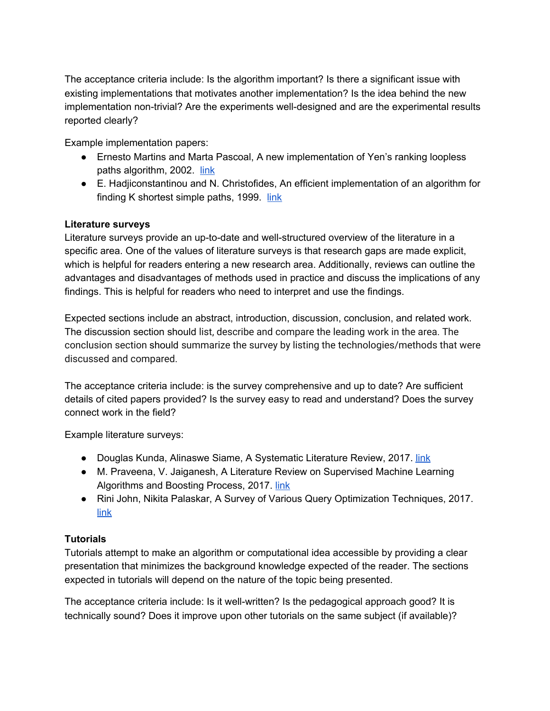The acceptance criteria include: Is the algorithm important? Is there a significant issue with existing implementations that motivates another implementation? Is the idea behind the new implementation non-trivial? Are the experiments well-designed and are the experimental results reported clearly?

Example implementation papers:

- Ernesto Martins and Marta Pascoal, A new implementation of Yen's ranking loopless paths algorithm, 2002. [link](https://idp.springer.com/authorize/casa?redirect_uri=https://link.springer.com/content/pdf/10.1007/s10288-002-0010-2.pdf&casa_token=Q3_ZHK94w-IAAAAA:kK7BHhhtf6dhhXOs_BR8QLoCyNAAYQu-F6O4jzLtsWUZWmPgfVFdUagYZAUeWKnCyMYjdZSEZF7MrBYZbA)
- E. Hadjiconstantinou and N. Christofides, An efficient implementation of an algorithm for finding K shortest simple paths,  $1999.$  [link](https://onlinelibrary.wiley.com/doi/pdf/10.1002/(SICI)1097-0037(199909)34:2%3C88::AID-NET2%3E3.0.CO;2-1?casa_token=Cw38mAUz3XUAAAAA:67PHXxsVVkGrXO4P-IA9mKRSxQl3AZu4omjvBwROFY9CGGK5h3LpYBcbKfWgbrQfm5igWKm4lImOwVw)

# **Literature surveys**

Literature surveys provide an up-to-date and well-structured overview of the literature in a specific area. One of the values of literature surveys is that research gaps are made explicit, which is helpful for readers entering a new research area. Additionally, reviews can outline the advantages and disadvantages of methods used in practice and discuss the implications of any findings. This is helpful for readers who need to interpret and use the findings.

Expected sections include an abstract, introduction, discussion, conclusion, and related work. The discussion section should list, describe and compare the leading work in the area. The conclusion section should summarize the survey by listing the technologies/methods that were discussed and compared.

The acceptance criteria include: is the survey comprehensive and up to date? Are sufficient details of cited papers provided? Is the survey easy to read and understand? Does the survey connect work in the field?

Example literature surveys:

- Douglas Kunda, Alinaswe Siame, A Systematic Literature Review, 2017. [link](https://pdfs.semanticscholar.org/99f5/e3c54937409d36dd7b9a1d8ece499726f030.pdf)
- M. Praveena, V. Jaiganesh, A Literature Review on Supervised Machine Learning Algorithms and Boosting Process, 2017. [link](https://pdfs.semanticscholar.org/8ddd/1e2130380329c0fc7938f047352b661fba84.pdf)
- Rini John, Nikita Palaskar, A Survey of Various Query Optimization Techniques, 2017. [link](https://pdfs.semanticscholar.org/bba5/d4c144a1e26a0791544fee170b2fdca90692.pdf)

# **Tutorials**

Tutorials attempt to make an algorithm or computational idea accessible by providing a clear presentation that minimizes the background knowledge expected of the reader. The sections expected in tutorials will depend on the nature of the topic being presented.

The acceptance criteria include: Is it well-written? Is the pedagogical approach good? It is technically sound? Does it improve upon other tutorials on the same subject (if available)?